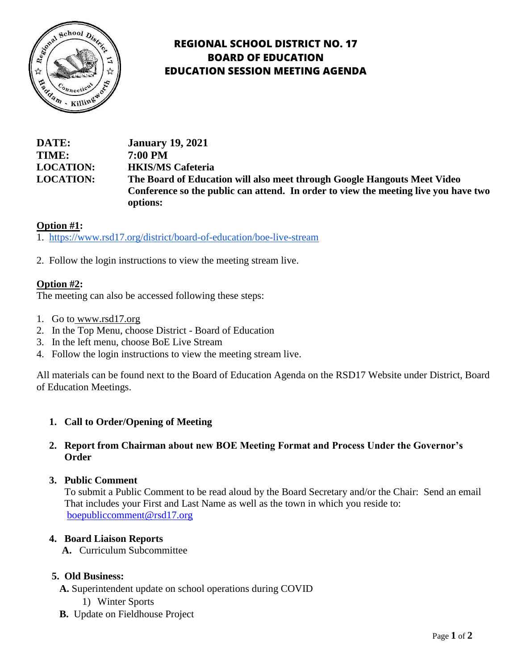

# **REGIONAL SCHOOL DISTRICT NO. 17 BOARD OF EDUCATION EDUCATION SESSION MEETING AGENDA**

# **DATE: January 19, 2021 TIME: 7:00 PM LOCATION: HKIS/MS Cafeteria LOCATION: The Board of Education will also meet through Google Hangouts Meet Video Conference so the public can attend. In order to view the meeting live you have two options:**

# **Option #1:**

1. <https://www.rsd17.org/district/board-of-education/boe-live-stream>

2. Follow the login instructions to view the meeting stream live.

# **Option #2:**

The meeting can also be accessed following these steps:

- 1. Go to [www.rsd17.org](http://www.rsd17.org/)
- 2. In the Top Menu, choose District Board of Education
- 3. In the left menu, choose BoE Live Stream
- 4. Follow the login instructions to view the meeting stream live.

All materials can be found next to the Board of Education Agenda on the RSD17 Website under District, Board of Education Meetings.

# **1. Call to Order/Opening of Meeting**

## **2. Report from Chairman about new BOE Meeting Format and Process Under the Governor's Order**

#### **3. Public Comment**

 To submit a Public Comment to be read aloud by the Board Secretary and/or the Chair: Send an email That includes your First and Last Name as well as the town in which you reside to: [boepubliccomment@rsd17.org](mailto:boepubliccomment@rsd17.org)

#### **4. Board Liaison Reports**

 **A.** Curriculum Subcommittee

#### **5. Old Business:**

- **A.** Superintendent update on school operations during COVID
	- 1) Winter Sports
- **B.** Update on Fieldhouse Project